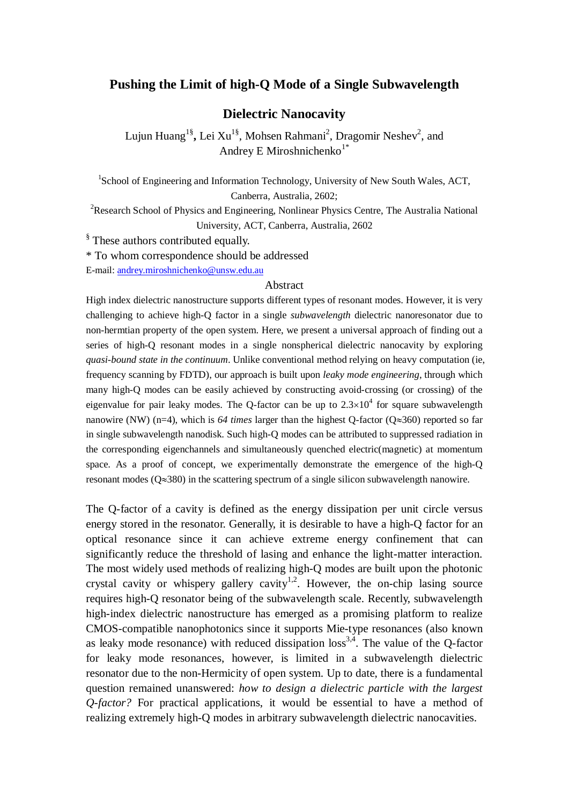# **Pushing the Limit of high-Q Mode of a Single Subwavelength**

## **Dielectric Nanocavity**

Lujun Huang<sup>1§</sup>, Lei Xu<sup>1§</sup>, Mohsen Rahmani<sup>2</sup>, Dragomir Neshev<sup>2</sup>, and Andrey E Miroshnichenko $1^*$ 

<sup>1</sup>School of Engineering and Information Technology, University of New South Wales, ACT, Canberra, Australia, 2602;

<sup>2</sup>Research School of Physics and Engineering, Nonlinear Physics Centre, The Australia National University, ACT, Canberra, Australia, 2602

<sup>§</sup> These authors contributed equally.

\* To whom correspondence should be addressed

E-mail: [andrey.miroshnichenko@unsw.edu.au](mailto:andrey.miroshnichenko@unsw.edu.au)

#### Abstract

High index dielectric nanostructure supports different types of resonant modes. However, it is very challenging to achieve high-Q factor in a single *subwavelength* dielectric nanoresonator due to non-hermtian property of the open system. Here, we present a universal approach of finding out a series of high-Q resonant modes in a single nonspherical dielectric nanocavity by exploring *quasi-bound state in the continuum*. Unlike conventional method relying on heavy computation (ie, frequency scanning by FDTD), our approach is built upon *leaky mode engineering*, through which many high-Q modes can be easily achieved by constructing avoid-crossing (or crossing) of the eigenvalue for pair leaky modes. The O-factor can be up to  $2.3 \times 10^4$  for square subwavelength nanowire (NW) (n=4), which is *64 times* larger than the highest Q-factor (Q≈360) reported so far in single subwavelength nanodisk. Such high-Q modes can be attributed to suppressed radiation in the corresponding eigenchannels and simultaneously quenched electric(magnetic) at momentum space. As a proof of concept, we experimentally demonstrate the emergence of the high-Q resonant modes ( $Q \approx 380$ ) in the scattering spectrum of a single silicon subwavelength nanowire.

The Q-factor of a cavity is defined as the energy dissipation per unit circle versus energy stored in the resonator. Generally, it is desirable to have a high-Q factor for an optical resonance since it can achieve extreme energy confinement that can significantly reduce the threshold of lasing and enhance the light-matter interaction. The most widely used methods of realizing high-Q modes are built upon the photonic crystal cavity or whispery gallery cavity<sup>1,2</sup>. However, the on-chip lasing source requires high-Q resonator being of the subwavelength scale. Recently, subwavelength high-index dielectric nanostructure has emerged as a promising platform to realize CMOS-compatible nanophotonics since it supports Mie-type resonances (also known as leaky mode resonance) with reduced dissipation  $loss<sup>3,4</sup>$ . The value of the O-factor for leaky mode resonances, however, is limited in a subwavelength dielectric resonator due to the non-Hermicity of open system. Up to date, there is a fundamental question remained unanswered: *how to design a dielectric particle with the largest Q-factor?* For practical applications, it would be essential to have a method of realizing extremely high-Q modes in arbitrary subwavelength dielectric nanocavities.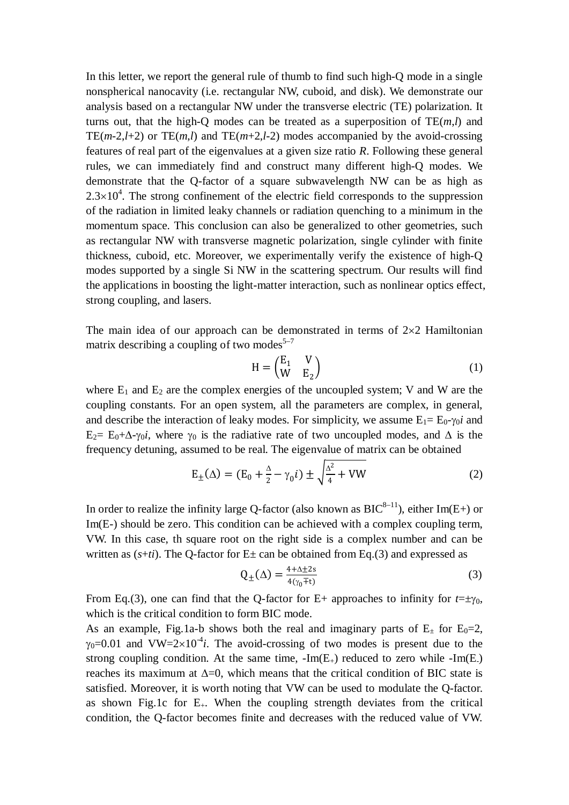In this letter, we report the general rule of thumb to find such high-Q mode in a single nonspherical nanocavity (i.e. rectangular NW, cuboid, and disk). We demonstrate our analysis based on a rectangular NW under the transverse electric (TE) polarization. It turns out, that the high-Q modes can be treated as a superposition of TE(*m*,*l*) and TE( $m-2, l+2$ ) or TE( $m, l$ ) and TE( $m+2, l-2$ ) modes accompanied by the avoid-crossing features of real part of the eigenvalues at a given size ratio *R*. Following these general rules, we can immediately find and construct many different high-Q modes. We demonstrate that the Q-factor of a square subwavelength NW can be as high as  $2.3 \times 10^4$ . The strong confinement of the electric field corresponds to the suppression of the radiation in limited leaky channels or radiation quenching to a minimum in the momentum space. This conclusion can also be generalized to other geometries, such as rectangular NW with transverse magnetic polarization, single cylinder with finite thickness, cuboid, etc. Moreover, we experimentally verify the existence of high-Q modes supported by a single Si NW in the scattering spectrum. Our results will find the applications in boosting the light-matter interaction, such as nonlinear optics effect, strong coupling, and lasers.

The main idea of our approach can be demonstrated in terms of  $2\times 2$  Hamiltonian matrix describing a coupling of two modes<sup>5-7</sup>

$$
H = \begin{pmatrix} E_1 & V \\ W & E_2 \end{pmatrix} \tag{1}
$$

where  $E_1$  and  $E_2$  are the complex energies of the uncoupled system; V and W are the coupling constants. For an open system, all the parameters are complex, in general, and describe the interaction of leaky modes. For simplicity, we assume  $E_1 = E_0 - \gamma_0 i$  and E<sub>2</sub>= E<sub>0</sub>+ $\Delta$ - $\gamma_0 i$ , where  $\gamma_0$  is the radiative rate of two uncoupled modes, and  $\Delta$  is the frequency detuning, assumed to be real. The eigenvalue of matrix can be obtained

$$
E_{\pm}(\Delta) = (E_0 + \frac{\Delta}{2} - \gamma_0 i) \pm \sqrt{\frac{\Delta^2}{4} + VW}
$$
 (2)

In order to realize the infinity large O-factor (also known as  $BIC^{8-11}$ ), either Im(E+) or Im(E-) should be zero. This condition can be achieved with a complex coupling term, VW. In this case, th square root on the right side is a complex number and can be written as  $(s+ti)$ . The Q-factor for  $E\pm$  can be obtained from Eq.(3) and expressed as

$$
Q_{\pm}(\Delta) = \frac{4 + \Delta \pm 2s}{4(\gamma_0 \mp t)}\tag{3}
$$

From Eq.(3), one can find that the Q-factor for E+ approaches to infinity for  $t=\pm\gamma_0$ , which is the critical condition to form BIC mode.

As an example, Fig.1a-b shows both the real and imaginary parts of  $E_{\pm}$  for  $E_0=2$ ,  $\gamma_0 = 0.01$  and VW=2×10<sup>-4</sup>*i*. The avoid-crossing of two modes is present due to the strong coupling condition. At the same time,  $\text{-Im}(E_+)$  reduced to zero while  $\text{-Im}(E_+)$ reaches its maximum at ∆=0, which means that the critical condition of BIC state is satisfied. Moreover, it is worth noting that VW can be used to modulate the Q-factor. as shown Fig.1c for  $E_{+}$ . When the coupling strength deviates from the critical condition, the Q-factor becomes finite and decreases with the reduced value of VW.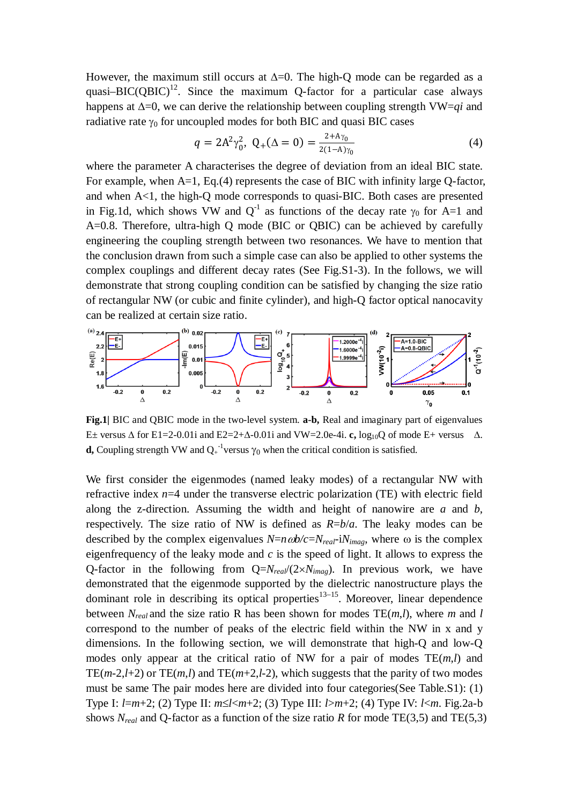However, the maximum still occurs at  $\Delta=0$ . The high-Q mode can be regarded as a quasi–BIC( $OBIC$ )<sup>12</sup>. Since the maximum O-factor for a particular case always happens at ∆=0, we can derive the relationship between coupling strength VW=*qi* and radiative rate  $\gamma_0$  for uncoupled modes for both BIC and quasi BIC cases

$$
q = 2A^2 \gamma_0^2, \ Q_+(\Delta = 0) = \frac{2 + A\gamma_0}{2(1 - A)\gamma_0} \tag{4}
$$

where the parameter A characterises the degree of deviation from an ideal BIC state. For example, when A=1, Eq.(4) represents the case of BIC with infinity large Q-factor, and when  $A<1$ , the high-Q mode corresponds to quasi-BIC. Both cases are presented in Fig.1d, which shows VW and  $Q^{-1}$  as functions of the decay rate  $\gamma_0$  for A=1 and A=0.8. Therefore, ultra-high Q mode (BIC or QBIC) can be achieved by carefully engineering the coupling strength between two resonances. We have to mention that the conclusion drawn from such a simple case can also be applied to other systems the complex couplings and different decay rates (See Fig.S1-3). In the follows, we will demonstrate that strong coupling condition can be satisfied by changing the size ratio of rectangular NW (or cubic and finite cylinder), and high-Q factor optical nanocavity can be realized at certain size ratio.



**Fig.1|** BIC and QBIC mode in the two-level system. **a-b,** Real and imaginary part of eigenvalues E± versus Δ for E1=2-0.01i and E2=2+Δ-0.01i and VW=2.0e-4i. **c**,  $log_{10}Q$  of mode E+ versus  $Δ$ . **d,** Coupling strength VW and  $Q_+^{-1}$ versus  $\gamma_0$  when the critical condition is satisfied.

We first consider the eigenmodes (named leaky modes) of a rectangular NW with refractive index *n*=4 under the transverse electric polarization (TE) with electric field along the z-direction. Assuming the width and height of nanowire are *a* and *b*, respectively. The size ratio of NW is defined as *R*=*b*/*a*. The leaky modes can be described by the complex eigenvalues  $N=n\omega b/c=N_{real}$ -i $N_{imag}$ , where  $\omega$  is the complex eigenfrequency of the leaky mode and *c* is the speed of light. It allows to express the Q-factor in the following from  $Q=N_{real}/(2\times N_{imag})$ . In previous work, we have demonstrated that the eigenmode supported by the dielectric nanostructure plays the dominant role in describing its optical properties $13-15$ . Moreover, linear dependence between *Nreal* and the size ratio R has been shown for modes TE(*m*,*l*), where *m* and *l* correspond to the number of peaks of the electric field within the NW in x and y dimensions. In the following section, we will demonstrate that high-Q and low-Q modes only appear at the critical ratio of NW for a pair of modes TE(*m*,*l*) and TE( $m-2$ , $l+2$ ) or TE( $m$ , $l$ ) and TE( $m+2$ , $l-2$ ), which suggests that the parity of two modes must be same The pair modes here are divided into four categories(See Table.S1): (1) Type I: *l*=*m*+2; (2) Type II: *m*≤*l*<*m*+2; (3) Type III: *l*>*m*+2; (4) Type IV: *l*<*m*. Fig.2a-b shows  $N_{real}$  and Q-factor as a function of the size ratio *R* for mode TE(3,5) and TE(5,3)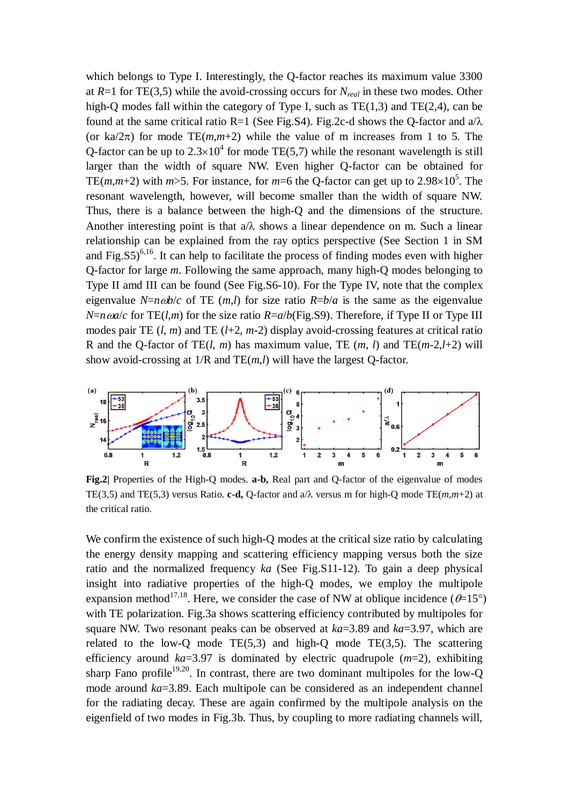which belongs to Type I. Interestingly, the Q-factor reaches its maximum value 3300 at *R*=1 for TE(3,5) while the avoid-crossing occurs for *Nreal* in these two modes. Other high-Q modes fall within the category of Type I, such as  $TE(1,3)$  and  $TE(2,4)$ , can be found at the same critical ratio R=1 (See Fig. S4). Fig. 2c-d shows the O-factor and  $a/\lambda$ (or ka/ $2\pi$ ) for mode TE(*m*,*m*+2) while the value of m increases from 1 to 5. The Q-factor can be up to  $2.3 \times 10^4$  for mode TE(5,7) while the resonant wavelength is still larger than the width of square NW. Even higher Q-factor can be obtained for TE(*m*,*m*+2) with *m*>5. For instance, for *m*=6 the Q-factor can get up to 2.98×10<sup>5</sup>. The resonant wavelength, however, will become smaller than the width of square NW. Thus, there is a balance between the high-Q and the dimensions of the structure. Another interesting point is that  $a/\lambda$  shows a linear dependence on m. Such a linear relationship can be explained from the ray optics perspective (See Section 1 in SM and Fig.  $(S5)^{6,16}$ . It can help to facilitate the process of finding modes even with higher Q-factor for large *m*. Following the same approach, many high-Q modes belonging to Type II amd III can be found (See Fig.S6-10). For the Type IV, note that the complex eigenvalue *N*= $n\omega b/c$  of TE (*m*,*l*) for size ratio *R*= $b/a$  is the same as the eigenvalue  $N=n \omega a/c$  for TE(*l,m*) for the size ratio  $R=a/b$ (Fig.S9). Therefore, if Type II or Type III modes pair TE  $(l, m)$  and TE  $(l+2, m-2)$  display avoid-crossing features at critical ratio R and the Q-factor of TE $(l, m)$  has maximum value, TE  $(m, l)$  and TE $(m-2,l+2)$  will show avoid-crossing at 1/R and TE(*m*,*l*) will have the largest Q-factor.



**Fig.2|** Properties of the High-Q modes. **a-b,** Real part and Q-factor of the eigenvalue of modes TE(3,5) and TE(5,3) versus Ratio. **c-d,** Q-factor and  $a/\lambda$  versus m for high-Q mode TE(*m*,*m*+2) at the critical ratio.

We confirm the existence of such high-Q modes at the critical size ratio by calculating the energy density mapping and scattering efficiency mapping versus both the size ratio and the normalized frequency *ka* (See Fig.S11-12). To gain a deep physical insight into radiative properties of the high-Q modes, we employ the multipole expansion method<sup>17,18</sup>. Here, we consider the case of NW at oblique incidence ( $\theta$ =15°) with TE polarization. Fig.3a shows scattering efficiency contributed by multipoles for square NW. Two resonant peaks can be observed at *ka*=3.89 and *ka*=3.97, which are related to the low-Q mode  $TE(5,3)$  and high-Q mode  $TE(3,5)$ . The scattering efficiency around *ka*=3.97 is dominated by electric quadrupole (*m*=2), exhibiting sharp Fano profile<sup>19,20</sup>. In contrast, there are two dominant multipoles for the low-Q mode around *ka*=3.89. Each multipole can be considered as an independent channel for the radiating decay. These are again confirmed by the multipole analysis on the eigenfield of two modes in Fig.3b. Thus, by coupling to more radiating channels will,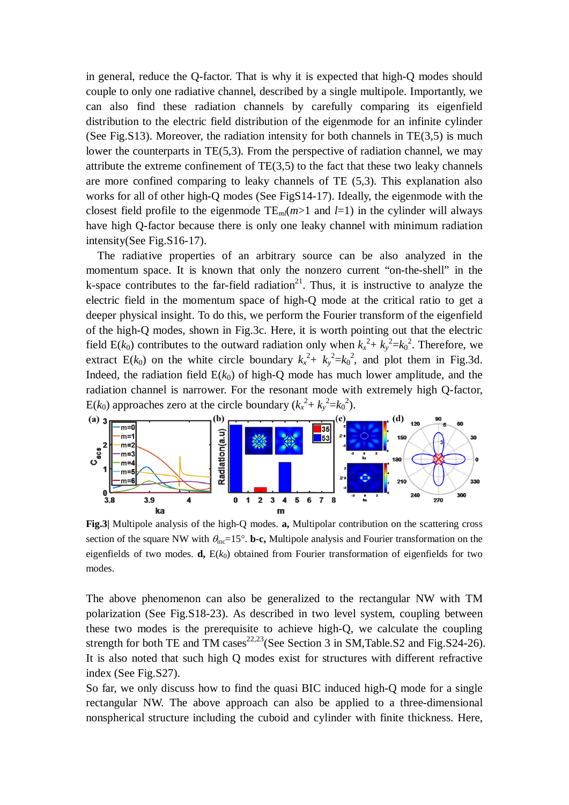in general, reduce the Q-factor. That is why it is expected that high-Q modes should couple to only one radiative channel, described by a single multipole. Importantly, we can also find these radiation channels by carefully comparing its eigenfield distribution to the electric field distribution of the eigenmode for an infinite cylinder (See Fig.S13). Moreover, the radiation intensity for both channels in TE(3,5) is much lower the counterparts in TE(5,3). From the perspective of radiation channel, we may attribute the extreme confinement of  $TE(3,5)$  to the fact that these two leaky channels are more confined comparing to leaky channels of TE (5,3). This explanation also works for all of other high-Q modes (See FigS14-17). Ideally, the eigenmode with the closest field profile to the eigenmode  $TE_{ml}(m>1$  and  $l=1$ ) in the cylinder will always have high Q-factor because there is only one leaky channel with minimum radiation intensity(See Fig.S16-17).

The radiative properties of an arbitrary source can be also analyzed in the momentum space. It is known that only the nonzero current "on-the-shell" in the k-space contributes to the far-field radiation<sup>21</sup>. Thus, it is instructive to analyze the electric field in the momentum space of high-Q mode at the critical ratio to get a deeper physical insight. To do this, we perform the Fourier transform of the eigenfield of the high-Q modes, shown in Fig.3c. Here, it is worth pointing out that the electric field  $E(k_0)$  contributes to the outward radiation only when  $k_x^2 + k_y^2 = k_0^2$ . Therefore, we extract E( $k_0$ ) on the white circle boundary  $k_x^2 + k_y^2 = k_0^2$ , and plot them in Fig.3d. Indeed, the radiation field  $E(k_0)$  of high-Q mode has much lower amplitude, and the radiation channel is narrower. For the resonant mode with extremely high Q-factor, E(*k*<sub>0</sub>) approaches zero at the circle boundary ( $k_x^2 + k_y^2 = k_0^2$ ).



**Fig.3|** Multipole analysis of the high-Q modes. **a,** Multipolar contribution on the scattering cross section of the square NW with  $\theta_{\text{inc}}=15^{\circ}$ . **b-c,** Multipole analysis and Fourier transformation on the eigenfields of two modes. **d**,  $E(k_0)$  obtained from Fourier transformation of eigenfields for two modes.

The above phenomenon can also be generalized to the rectangular NW with TM polarization (See Fig.S18-23). As described in two level system, coupling between these two modes is the prerequisite to achieve high-Q, we calculate the coupling strength for both TE and TM cases<sup>22,23</sup>(See Section 3 in SM,Table.S2 and Fig.S24-26). It is also noted that such high Q modes exist for structures with different refractive index (See Fig.S27).

So far, we only discuss how to find the quasi BIC induced high-Q mode for a single rectangular NW. The above approach can also be applied to a three-dimensional nonspherical structure including the cuboid and cylinder with finite thickness. Here,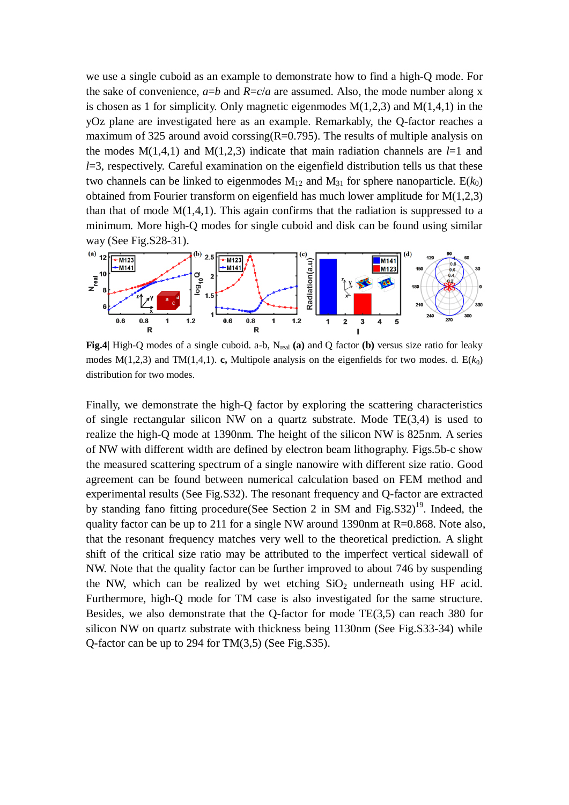we use a single cuboid as an example to demonstrate how to find a high-Q mode. For the sake of convenience,  $a=b$  and  $R=c/a$  are assumed. Also, the mode number along x is chosen as 1 for simplicity. Only magnetic eigenmodes  $M(1,2,3)$  and  $M(1,4,1)$  in the yOz plane are investigated here as an example. Remarkably, the Q-factor reaches a maximum of 325 around avoid corssing  $(R=0.795)$ . The results of multiple analysis on the modes  $M(1,4,1)$  and  $M(1,2,3)$  indicate that main radiation channels are  $l=1$  and *l*=3, respectively. Careful examination on the eigenfield distribution tells us that these two channels can be linked to eigenmodes  $M_{12}$  and  $M_{31}$  for sphere nanoparticle.  $E(k_0)$ obtained from Fourier transform on eigenfield has much lower amplitude for M(1,2,3) than that of mode  $M(1,4,1)$ . This again confirms that the radiation is suppressed to a minimum. More high-Q modes for single cuboid and disk can be found using similar way (See Fig.S28-31).



Fig.4| High-Q modes of a single cuboid. a-b, N<sub>real</sub> (a) and Q factor (b) versus size ratio for leaky modes  $M(1,2,3)$  and TM $(1,4,1)$ . **c**, Multipole analysis on the eigenfields for two modes. d.  $E(k_0)$ distribution for two modes.

Finally, we demonstrate the high-Q factor by exploring the scattering characteristics of single rectangular silicon NW on a quartz substrate. Mode TE(3,4) is used to realize the high-Q mode at 1390nm. The height of the silicon NW is 825nm. A series of NW with different width are defined by electron beam lithography. Figs.5b-c show the measured scattering spectrum of a single nanowire with different size ratio. Good agreement can be found between numerical calculation based on FEM method and experimental results (See Fig.S32). The resonant frequency and Q-factor are extracted by standing fano fitting procedure(See Section 2 in SM and Fig.S32)<sup>19</sup>. Indeed, the quality factor can be up to 211 for a single NW around 1390nm at R=0.868. Note also, that the resonant frequency matches very well to the theoretical prediction. A slight shift of the critical size ratio may be attributed to the imperfect vertical sidewall of NW. Note that the quality factor can be further improved to about 746 by suspending the NW, which can be realized by wet etching  $SiO<sub>2</sub>$  underneath using HF acid. Furthermore, high-Q mode for TM case is also investigated for the same structure. Besides, we also demonstrate that the Q-factor for mode TE(3,5) can reach 380 for silicon NW on quartz substrate with thickness being 1130nm (See Fig.S33-34) while Q-factor can be up to 294 for TM(3,5) (See Fig.S35).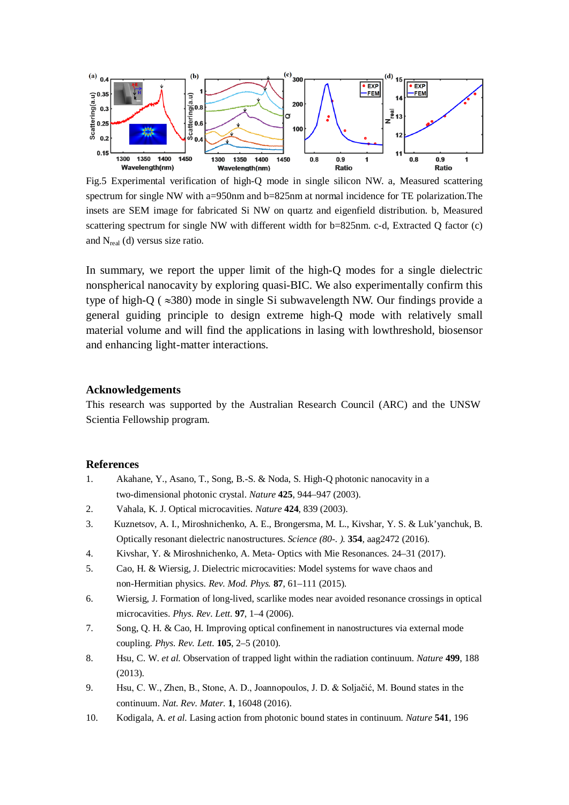

Fig.5 Experimental verification of high-Q mode in single silicon NW. a, Measured scattering spectrum for single NW with a=950nm and b=825nm at normal incidence for TE polarization.The insets are SEM image for fabricated Si NW on quartz and eigenfield distribution. b, Measured scattering spectrum for single NW with different width for b=825nm. c-d, Extracted Q factor (c) and Nreal (d) versus size ratio.

In summary, we report the upper limit of the high-Q modes for a single dielectric nonspherical nanocavity by exploring quasi-BIC. We also experimentally confirm this type of high-O ( $\approx$ 380) mode in single Si subwavelength NW. Our findings provide a general guiding principle to design extreme high-Q mode with relatively small material volume and will find the applications in lasing with lowthreshold, biosensor and enhancing light-matter interactions.

#### **Acknowledgements**

This research was supported by the Australian Research Council (ARC) and the UNSW Scientia Fellowship program.

### **References**

- 1. Akahane, Y., Asano, T., Song, B.-S. & Noda, S. High-Q photonic nanocavity in a two-dimensional photonic crystal. *Nature* **425**, 944–947 (2003).
- 2. Vahala, K. J. Optical microcavities. *Nature* **424**, 839 (2003).
- 3. Kuznetsov, A. I., Miroshnichenko, A. E., Brongersma, M. L., Kivshar, Y. S. & Luk'yanchuk, B. Optically resonant dielectric nanostructures. *Science (80-. ).* **354**, aag2472 (2016).
- 4. Kivshar, Y. & Miroshnichenko, A. Meta- Optics with Mie Resonances. 24–31 (2017).
- 5. Cao, H. & Wiersig, J. Dielectric microcavities: Model systems for wave chaos and non-Hermitian physics. *Rev. Mod. Phys.* **87**, 61–111 (2015).
- 6. Wiersig, J. Formation of long-lived, scarlike modes near avoided resonance crossings in optical microcavities. *Phys. Rev. Lett.* **97**, 1–4 (2006).
- 7. Song, Q. H. & Cao, H. Improving optical confinement in nanostructures via external mode coupling. *Phys. Rev. Lett.* **105**, 2–5 (2010).
- 8. Hsu, C. W. *et al.* Observation of trapped light within the radiation continuum. *Nature* **499**, 188 (2013).
- 9. Hsu, C. W., Zhen, B., Stone, A. D., Joannopoulos, J. D. & Soljačić, M. Bound states in the continuum. *Nat. Rev. Mater.* **1**, 16048 (2016).
- 10. Kodigala, A. *et al.* Lasing action from photonic bound states in continuum. *Nature* **541**, 196